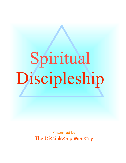# Spiritual Discipleship

Presented by The Discipleship Ministry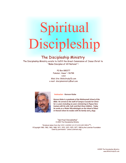# Spiritual Discipleship

# The Discipleship Ministry

The Discipleship Ministry exists to fulfill the Great Commission of Jesus Christ to "Make Disciples of All Nations" !

> PO Box 880277 Pukalani, Hawai`i 96788 USA Web Site: BibleStudyCD.com e-mail: discipleministry@aol.com



Instructor - Kenson Kuba

*Kenson Kuba is a graduate of the Multnomah School of the Bible. He served on the staff of Campus Crusade for Christ for 12 years including six years ministering in Papua New Guinea with his wife, Gail, and their three children. Today he works as a Water Microbiologist on the island of Maui in Hawaii where he resides with his family and 4 dogs.*

"Spiritual Discipleship" © 2005 The Discipleship Ministry

"Scripture taken from the NEW AMERICAN STANDARD BIBLE*™, ©*Copyright 1960, 1962, 1963, 1968, 1971, 1972, 1973, 1975, 1977, 1995 by the Lockman Foundation Used by permission." (www.Lockman.org)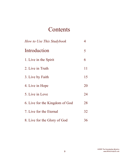# **Contents**

| How to Use This Studybook      | 4  |
|--------------------------------|----|
| Introduction                   | 5  |
| 1. Live in the Spirit          | 6  |
| 2. Live in Truth               | 11 |
| 3. Live by Faith               | 15 |
| 4. Live in Hope                | 20 |
| 5. Live in Love                | 24 |
| 6. Live for the Kingdom of God | 28 |
| 7. Live for the Eternal        | 32 |
| 8. Live for the Glory of God   | 36 |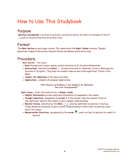# How to Use This Studybook

# Purpose

**'Spiritual Discipleship'** is written to provide a Scriptural look at the heart of disciples of Christ ... a look at the priorities that drive their lives.

# Format

The **Main Section** on each page contain The Lesson while the **Right Column** contains Thought Questions, Helpful Information, Related Verses and Memorization Directives.

# Procedure

**Main Section** ~ The Lesson

- **Read** through each Lesson, paying careful attention to all Scripture References.
- **Instructions**, indicated by **bullets** , include directions to Underline, Circle or Read specific sections of Scripture. They help the student observe and retain significant Truths in the Bible!
- **Answer the Questions** in the space provided.
- **Applications:** complete all assigned Applications.

# *"The Purpose of Scripture is not simply to be Informed, but to be Transformed!"*

**Right Column** ~ Cover this material for a **deeper study.**

- **Helpful Information** provide additional information to supplement the Lesson.
- **Thought Questions**, designated by **arrows** A in the Column, help the student focus on the significant ideas of the Lesson to gain a deeper understanding.
- **Related Verses**, indicated by the **Bible** , provide additional Scriptures to look up. These should be examined to gain a better understanding of what other Scriptures teach about the Lesson.
- **Memorization Directives**, designated by the **arrow**  $\overline{P}$ , point out key Scriptures to commit to memory.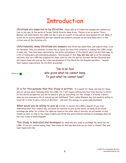# Introduction

Christians are expected to be Christlike. Jesus calls us to Follow His example and conform our lives to His own. In the words of former NASA Director Gene Kranz, "Failure is not an option." Every Believer will stand before the LORD one day to give an account on how well we have heeded His call. Many of us will fail to receive substantial spiritual rewards and authority because we will have fallen short in this critical area of the Christian Life.

Unfortunately, many Christians are unaware that Christ has called them, and expects them, to be His Disciples. They are satisfied to know Him as Savior but have little intention of making Him LORD except in name only. They have been captivated by the glitter and glamour of this World, which has led them away to a life of fading glory and diminishing pleasure. And because of this, **they will miss out** on all the blessings and honor that our LORD has prepared for them, both for this life and for the next. Be Not Deceived! God will reward those who give up the riches and pleasures of this World for His Kingdom and Glory ... beyond their highest expectations. As Jim Elliot proclaimed ...



"He is no fool who gives what he cannot keep To gain what he cannot lose!"

It is for this purpose that this Study is written. It is meant for those, and only for those, who are serious about following after the LORD, for it will require nothing less than total devotion to Christ. In this world's perspective, you will be asked to give up 'everything' for Him, though it is hardly a deficit when you are returned a life of eternal joy and fulfillment! That's called Wisdom! Any fool would be willing to invest \$1 in order to gain a return of \$1 billion ... and even this analogy is a gross understatement.

What would you be willing to give up in order to receive the LORD's reward? If you truly understood what that 'reward' was, you would not hesitate to give up the 'world', as easily as you would exchange one dollar for a billion. For when we stand on the other side of eternity, we will wonder at how foolish we were to cling to the cheap trinkets and thrills this world offered instead of exchanging them for the true riches of God's Kingdom!

This Study is dedicated and developed for those who are ready to exchange the 'world' for the LORD. If you are counted among them, then study on! And may God draw you so close to Himself that your heart beats with His!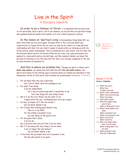# Live in the Spirit A Disciple's Identity

In order to be a follower of Christ, it is essential that we learn how to live spiritually. God is spirit, and in our essence, so are we! We are spiritual beings who possess physical bodies that enable us to live in God's physical creation.

In the lesson on 'Spiritual Living' in Discipleship Study Book #2, we learn that when we are 'born again' through faith in the vicarious death and resurrection of Jesus Christ for our sins, our spirits are reborn in a new spiritual relationship with God. His very Spirit comes to dwell within us infusing us with His divine nature, power and passion. This is evidenced by a new found love for God, for His Eternal Word and for His Perfect Plan for our lives. Our eyes and hearts are opened to a new world and an eternal hope, and like newborn babies, we begin the process of learning to live this spiritual life that is so foreign compared to the one we have become accustomed to.

And that is where our problem lies. Though our spirit is reborn with **God's new nature**, our bodies are still infected with **the old sinful nature**. Our spirits are drawn to the eternal joys of heaven while our bodies are shackled to the momentary thrills of this world. Paul outlines our predicament in **Romans 7:14-8:2**.

- <sup>14</sup> For we know that the Law is spiritual,
	- but I am of flesh, sold into bondage to sin.
- <sup>15</sup> For what I am doing,
	- I do not understand;
		- for I am not practicing what I would like to do, but I am doing the very thing I hate.
- 16 But if I do the very thing I do not want to do, I agree with the Law, confessing that the Law is good.
- <sup>17</sup> So now, no longer am I the one doing it, but sin which dwells in me.
- <sup>18</sup> For I know that nothing good dwells in me,
	- that is, in my flesh;
	- for the willing is present in me,
		- but the doing of the good is not.
- <sup>19</sup> For the good that I want, I do not do,
	-
	- but I practice the very evil that I do not want.
- <sup>20</sup> But if I am doing the very thing I do not want,
	- I am no longer the one doing it,
	- but sin which dwells in me.
- <sup>21</sup> I find then the principle that evil is present in me, the one who wants to do good.

John 1:12-13 Ephesians 2:1-10 Romans 6:4

## **Romans 7:14-25 Circle** or **Underline**:

- v 14 What the Law is. What I am. To what I am sold.
- v 15 What I don't understand. What I am not practicing. What I am doing.
- v 16 With what I agree.
- v 17 Who is no longer doing what I hate.
- What is doing what I hate. v 18 What I know dwells in my flesh.
	- What is present in me. What is not present in me.
- v 19 What I do not do. What I practice.
- v 20 Who is no longer doing what I do not want. What is doing what I do not want.
- v 21 What principle I find. How 'me' is described.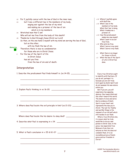<sup>22</sup> For I joyfully concur with the law of God in the inner man, <sup>23</sup> but I see a different law in the members of my body, waging war against the law of my mind and making me a prisoner of the law of sin which is in my members. <sup>24</sup> Wretched man that I am! Who will set me free from the body of this death? <sup>25</sup> Thanks be to God through Jesus Christ our Lord! So then, on the one hand I myself with my mind am serving the law of God, but on the other, with my flesh the law of sin. **Memorize** Therefore there is now no condemnation 뫼 for those who are in Christ Jesus. <sup>2</sup> For the law of the Spirit of life in Christ Jesus has set you free from the law of sin and of death.

# Interpretation

1. Describe the predicament Paul finds himself in. (vs 14-15) \_\_\_\_\_\_\_\_\_\_\_\_\_\_\_\_\_\_

\_\_\_\_\_\_\_\_\_\_\_\_\_\_\_\_\_\_\_\_\_\_\_\_\_\_\_\_\_\_\_\_\_\_\_\_\_\_\_\_\_\_\_\_\_\_\_\_\_\_\_\_\_\_\_\_

\_\_\_\_\_\_\_\_\_\_\_\_\_\_\_\_\_\_\_\_\_\_\_\_\_\_\_\_\_\_\_\_\_\_\_\_\_\_\_\_\_\_\_\_\_\_\_\_\_\_\_\_\_\_\_\_

\_\_\_\_\_\_\_\_\_\_\_\_\_\_\_\_\_\_\_\_\_\_\_\_\_\_\_\_\_\_\_\_\_\_\_\_\_\_\_\_\_\_\_\_\_\_\_\_\_\_\_\_\_\_\_\_

\_\_\_\_\_\_\_\_\_\_\_\_\_\_\_\_\_\_\_\_\_\_\_\_\_\_\_\_\_\_\_\_\_\_\_\_\_\_\_\_\_\_\_\_\_\_\_\_\_\_\_\_\_\_\_\_

\_\_\_\_\_\_\_\_\_\_\_\_\_\_\_\_\_\_\_\_\_\_\_\_\_\_\_\_\_\_\_\_\_\_\_\_\_\_\_\_\_\_\_\_\_\_\_\_\_\_\_\_\_\_\_\_

\_\_\_\_\_\_\_\_\_\_\_\_\_\_\_\_\_\_\_\_\_\_\_\_\_\_\_\_\_\_\_\_\_\_\_\_\_\_\_\_\_\_\_\_\_\_\_\_\_\_\_\_\_\_\_\_

\_\_\_\_\_\_\_\_\_\_\_\_\_\_\_\_\_\_\_\_\_\_\_\_\_\_\_\_\_\_\_\_\_\_\_\_\_\_\_\_\_\_\_\_\_\_\_\_\_\_\_\_\_\_\_\_

\_\_\_\_\_\_\_\_\_\_\_\_\_\_\_\_\_\_\_\_\_\_\_\_\_\_\_\_\_\_\_\_\_\_\_\_\_\_\_\_\_\_\_\_\_\_\_\_\_\_\_\_\_\_\_\_

- 2. Explain Paul's thinking in vs 16-20. \_\_\_\_\_\_\_\_\_\_\_\_\_\_\_\_\_\_\_\_\_\_\_\_\_\_\_\_\_\_\_\_
- 3. Where does Paul locate the evil principle in him? (vs 21-23) \_\_\_\_\_\_\_\_\_\_\_\_\_\_\_

Where does Paul locate the his desire to obey God? \_\_\_\_\_\_\_\_\_\_\_\_\_\_\_\_\_\_\_\_\_\_\_\_\_\_\_\_\_

- 4. Describe what Paul is expressing in v 24.
- 5. What is Paul's conclusion in v 25 & 8:1-2? \_\_\_\_\_\_\_\_\_\_\_\_\_\_\_\_\_\_\_\_\_\_\_\_\_\_\_\_\_\_\_\_\_\_
- v 22 Where I joyfully agree with God's law.
- v 23 What I see in the members of my body. What that 'law' is doing. What it makes me a prisoner of.
- v 24 How this predicament makes me view myself. What I want to be set free from.
- v 25 Who sets me free. What I serve in my mind. What I serve in my flesh.
- v 1 What there is no longer for those in Christ.
- v 2 What the law of the Spirit of Life in Christ has done.

Every true Christian ought to identify with Paul here. If you do not, perhaps it is because you are not truly born again by God's Spirit and do not possess His new nature within you.

But if you are, you will experience two opposing desires. One toward God and the other toward this world. The desire to love and serve God is evidence of God's Spirit in your heart and represents the new you in Christ. The lust for fleshly and worldly things is the remnant of our old self which still resides in our flesh.

When a true Christian sins, it is never what he truly would like to do as a new person in Christ. God, in His grace, has separated true Believers from their sin natures so that He does not condemn them. It is an incredible picture of God's grace and our freedom in Christ!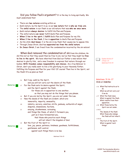Did you follow Paul's argument? It is the key to living spiritually. We must understand that:

- There are **two natures** existing within us.
- God's nature, by His Spirit in us, is our **new nature** that is **who we truly are**.
- The **sinful nature** in our flesh is our old nature that was **who we once were**.
- God's nature **always desires** to fulfill His Plan and Purpose.
- The sinful nature **can never** fulfill God's Plan and Purpose.
- **When I live in the spirit**, I **fulfill** God's Plan and Purpose for my life.
- **When I live in the flesh**, I live in **opposition** to God's Plan and Purpose.
- As His child, **God knows** it is the sin in my flesh that causes me to oppose Him.
- Through Jesus Christ, God has **separated me from the sinful nature**.
- **In Jesus Christ**, I am freed from the condemnation incurred by the sin nature!

When God removed the condemnation of sin from His children, He did this not so that they would then be free to sin, but so that they might be **free to live in the spirit.** We have inherited from God our Father a new nature that desires to glorify Him, and a new freedom to express that nature through our bodies. **With freedom comes responsibility and choices.** As a true Believer in Christ, don't you really want to live a life glorifying to your Heavenly Father, fulfilling His Purpose and Plan for your life? Of course! Then live in the Spirit, not the flesh! It's as plain as that!

| 16                                 | But I say, walk by the Spirit,                                                                                                                                                                                                                     | Galatians 5:16-17<br>Circle or Underline:                                                                                              |
|------------------------------------|----------------------------------------------------------------------------------------------------------------------------------------------------------------------------------------------------------------------------------------------------|----------------------------------------------------------------------------------------------------------------------------------------|
| Memorize<br>17 <sup>7</sup>        | and you will not carry out the desire of the flesh.<br>For the flesh sets its desire against the Spirit,<br>and the Spirit against the flesh;<br>for these are in opposition to one another,<br>so that you may not do the things that you please. | v 16 What Paul instructs us to<br>do.<br>What we will not carry out<br>if we do.                                                       |
| 18                                 | But if you are led by the Spirit, you are not under the Law.                                                                                                                                                                                       | What the flesh does.<br>v <sub>17</sub>                                                                                                |
| 19                                 | Now the deeds of the flesh are evident, which are:<br>immorality, impurity, sensuality,                                                                                                                                                            | What is against the flesh<br>What results from their                                                                                   |
| 20                                 | idolatry, sorcery, enmities, strife, jealousy, outbursts of anger,<br>disputes, dissensions, factions,                                                                                                                                             | opposition.<br>v 18 What those led by the<br>Spirit are not under.                                                                     |
| 21                                 | envying, drunkenness, carousing,<br>and things like these, of which I forewarn you,<br>just as I have forewarned you,<br>that those who practice such things<br>will not inherit the kingdom of God.                                               | $v$ 19-21<br>The 'deeds of the flesh'.<br>What those who indulge<br>the flesh will not inheri<br>$v$ 22-23<br>The fruit of the Spirit. |
| 22<br>Memorize $\Rightarrow$<br>23 | But the fruit of the Spirit is<br>love, joy, peace, patience, kindness, goodness, faithfulness,<br>gentleness, self-control;                                                                                                                       | What is against 'such<br>things'.                                                                                                      |
|                                    | against such things there is no law.                                                                                                                                                                                                               |                                                                                                                                        |

Galatians 5:16-23

Ezekiel 36:26-27 2 Peter 1:4 Galatians 5:13-14

The 'deeds of the flesh'. What those who indulge the flesh will not inherit.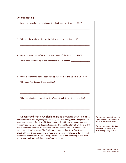# Interpretation

| Describe the relationship between the Spirit and the flesh in vs 16-17.          |
|----------------------------------------------------------------------------------|
|                                                                                  |
| Why are those who are led by the Spirit not under the Law? v 18                  |
|                                                                                  |
| Use a dictionary to define each of the 'deeds of the flesh' in vs 19-21.         |
| What does the warning at the conclusion of v 21 mean? __________________________ |
|                                                                                  |
| Use a dictionary to define each part of the 'fruit of the Spirit' in vs 22-23.   |
|                                                                                  |
|                                                                                  |
| What does Paul mean when he writes 'against such things there is no law'?        |
|                                                                                  |
|                                                                                  |

had its way from the beginning and will not yield itself easily, even though you are now a new person in Christ. And it is not alone in its efforts to conquer and keep you in its power. Satan, his demonic horde, and this world system of which he is still prince and ruler, combine to tempt and entrap Believers who are weak in faith or ignorant of his evil schemes. That's why we are admonished to be 'alert' and 'steadfast' against our enemy who will use every weapon in his arsenal to 'kill, steal or destroy' our new life in Christ. Only those Believers who are Living in the Spirit will be able to *detect* and *thwart* satan's evil schemes.

To learn more about Living in the **Spirit's Power**, study Lesson 3 in Discipleship Study Book 1.

To learn more about **Spiritual Warfare**, study Lesson 4 in Discipleship Study Book 2.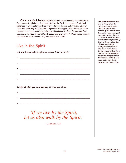Christian discipleship demands that we continuously live in the Spirit. Every moment a Christian lives dominated by the flesh is a moment of **spiritual blindness** in which satan has free reign to tempt, deceive and influence us away from God. Now, why would we want to give him that opportunity? When we live in the Spirit, our mind, emotions and will are in unison with God's Purpose and Plan enabling us to discern what is 'good, acceptable and perfect'! When we are living in that spiritual state, we are truly disciples of our LORD!

# Live in the Spirit

**List key Truths and Principles** you learned from this study:

| <u> 1989 - Johann Harry Harry Harry Harry Harry Harry Harry Harry Harry Harry Harry Harry Harry Harry Harry Harry Harry Harry Harry Harry Harry Harry Harry Harry Harry Harry Harry Harry Harry Harry Harry Harry Harry Harry Ha</u> |
|--------------------------------------------------------------------------------------------------------------------------------------------------------------------------------------------------------------------------------------|
|                                                                                                                                                                                                                                      |
| <u> La componenta de la componenta de la componenta de la componenta de la componenta de la componenta de la comp</u>                                                                                                                |
|                                                                                                                                                                                                                                      |
|                                                                                                                                                                                                                                      |
|                                                                                                                                                                                                                                      |
| In light of what you have learned, list what you will do.                                                                                                                                                                            |
| the control of the control of the control of the control of the control of the control of                                                                                                                                            |

*'If we live by the Spirit, let us also walk by the Spirit.'*

 $\checkmark$  , we can also an algebra  $\checkmark$  . The set of  $\checkmark$  and  $\checkmark$  and  $\checkmark$  and  $\checkmark$  and  $\checkmark$  and  $\checkmark$  and  $\checkmark$  and  $\checkmark$  and  $\checkmark$  and  $\checkmark$  and  $\checkmark$  and  $\checkmark$  and  $\checkmark$  and  $\checkmark$  and  $\checkmark$  and  $\checkmark$  and  $\checkmark$  and

 $\checkmark$  , we can also an algebra  $\checkmark$  . The set of  $\checkmark$  and  $\checkmark$  and  $\checkmark$  and  $\checkmark$  and  $\checkmark$  and  $\checkmark$  and  $\checkmark$  and  $\checkmark$  and  $\checkmark$  and  $\checkmark$  and  $\checkmark$  and  $\checkmark$  and  $\checkmark$  and  $\checkmark$  and  $\checkmark$  and  $\checkmark$  and  $\checkmark$  and

Galatians 5:25

**The spirit world** holds more sway on the physical then most people may be aware. The Bible teaches that demonic spirits may influence the way individual people, and even entire nations, live and act. Demons continually assail Christians seeking to destroy their faith and testimonies. They work to develop strongholds in the lives of people, groups and nations through deception in order to destroy the true knowledge of God and keep people from the liberating truth of God's salvation through His only begotten Son, Jesus Christ.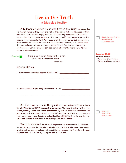# Live in the Truth A Disciple's Reality

# A follower of Christ is one who lives in the Truth not deception.

He sees all things as they really are, not as they appear to be, and because of this, he is able to discern the empty promises of momentary pleasures and superficial success. But how do you determine what is true or real? How can you separate the genuine from the counterfeit? Most depend on their physical senses and intellect. Some would even include intuition. But our adversary, the devil, is the preeminent deceiver and even the smartest among us are fooled! Our lust for possessions, prominence, power and pleasure can lead any of us down the wrong path. As the writer of Proverbs noted ...

Memorize  $\overline{5}$ 

There is a way which seems right to a man, But its end is the way of death.

Proverbs 16:25

\_\_\_\_\_\_\_\_\_\_\_\_\_\_\_\_\_\_\_\_\_\_\_\_\_\_\_\_\_\_\_\_\_\_\_\_\_\_\_\_\_\_\_\_\_\_\_\_\_\_\_\_\_\_\_\_

\_\_\_\_\_\_\_\_\_\_\_\_\_\_\_\_\_\_\_\_\_\_\_\_\_\_\_\_\_\_\_\_\_\_\_\_\_\_\_\_\_\_\_\_\_\_\_\_\_\_\_\_\_\_\_\_

\_\_\_\_\_\_\_\_\_\_\_\_\_\_\_\_\_\_\_\_\_\_\_\_\_\_\_\_\_\_\_\_\_\_\_\_\_\_\_\_\_\_\_\_\_\_\_\_\_\_\_\_\_\_\_\_

\_\_\_\_\_\_\_\_\_\_\_\_\_\_\_\_\_\_\_\_\_\_\_\_\_\_\_\_\_\_\_\_\_\_\_\_\_\_\_\_\_\_\_\_\_\_\_\_\_\_\_\_\_\_\_\_

# Interpretation

1. What makes something appear 'right' to us? \_\_\_\_\_\_\_\_\_\_\_\_\_\_\_\_\_\_\_\_\_\_\_\_\_\_\_\_\_\_\_\_\_\_

2. What examples might apply to Proverbs 16:25?

But first, we must ask the question posed by Pontius Pilate to Jesus Christ. **'What is truth?'** Of course, the answer for Pilate was standing right in front of him, literally! **Jesus was Truth personified!** By this we mean that His Person was permeated with the reality of God, and His Life was lived in absolute congruence to that reality! Everything Jesus did and said reflected this Truth to the end that He would not lie even to avoid the excruciating death on the cross.

Truth is absolute! Truth is not negotiable nor even relative. And it is so because its source is the One who is Absolute. God is Truth Who alone determines what is real, genuine, actual and right. And He has revealed His Truth to us through the testimony of His Son, by His Spirit and in His Word.

## 2 Corinthians 11:3-4, 13-14 Revelation 12:9 1 Corinthians 16:9

## **Proverbs 16:25**

**Circle** or **Underline** ...

What kind of 'way' is there.

Where a right way might end.

John 14:6 John 1:17-18 John 18:37-38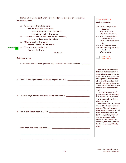**Notice what Jesus said** when He prayed for His disciples on the evening before His arrest. <sup>14</sup> "I have given them Your word; and the world has hated them, because they are not of the world,

- even as I am not of the world.
- <sup>15</sup> "I do not ask You to take them out of the world, but to keep them from the evil one.
- <sup>16</sup> "They are not of the world, even as I am not of the world.
- <sup>17</sup> "Sanctify them in the truth; Your word is truth. Memorize

John 17:14-17

\_\_\_\_\_\_\_\_\_\_\_\_\_\_\_\_\_\_\_\_\_\_\_\_\_\_\_\_\_\_\_\_\_\_\_\_\_\_\_\_\_\_\_\_\_\_\_\_\_\_\_\_\_\_\_\_

\_\_\_\_\_\_\_\_\_\_\_\_\_\_\_\_\_\_\_\_\_\_\_\_\_\_\_\_\_\_\_\_\_\_\_\_\_\_\_\_\_\_\_\_\_\_\_\_\_\_\_\_\_\_\_\_

\_\_\_\_\_\_\_\_\_\_\_\_\_\_\_\_\_\_\_\_\_\_\_\_\_\_\_\_\_\_\_\_\_\_\_\_\_\_\_\_\_\_\_\_\_\_\_\_\_\_\_\_\_\_\_\_

\_\_\_\_\_\_\_\_\_\_\_\_\_\_\_\_\_\_\_\_\_\_\_\_\_\_\_\_\_\_\_\_\_\_\_\_\_\_\_\_\_\_\_\_\_\_\_\_\_\_\_\_\_\_\_\_

\_\_\_\_\_\_\_\_\_\_\_\_\_\_\_\_\_\_\_\_\_\_\_\_\_\_\_\_\_\_\_\_\_\_\_\_\_\_\_\_\_\_\_\_\_\_\_\_\_\_\_\_\_\_\_\_

\_\_\_\_\_\_\_\_\_\_\_\_\_\_\_\_\_\_\_\_\_\_\_\_\_\_\_\_\_\_\_\_\_\_\_\_\_\_\_\_\_\_\_\_\_\_\_\_\_\_\_\_\_\_\_\_

\_\_\_\_\_\_\_\_\_\_\_\_\_\_\_\_\_\_\_\_\_\_\_\_\_\_\_\_\_\_\_\_\_\_\_\_\_\_\_\_\_\_\_\_\_\_\_\_\_\_\_\_\_\_\_\_

\_\_\_\_\_\_\_\_\_\_\_\_\_\_\_\_\_\_\_\_\_\_\_\_\_\_\_\_\_\_\_\_\_\_\_\_\_\_\_\_\_\_\_\_\_\_\_\_\_\_\_\_\_\_\_\_

\_\_\_\_\_\_\_\_\_\_\_\_\_\_\_\_\_\_\_\_\_\_\_\_\_\_\_\_\_\_\_\_\_\_\_\_\_\_\_\_\_\_\_\_\_\_\_\_\_\_\_\_\_\_\_\_

\_\_\_\_\_\_\_\_\_\_\_\_\_\_\_\_\_\_\_\_\_\_\_\_\_\_\_\_\_\_\_\_\_\_\_\_\_\_\_\_\_\_\_\_\_\_\_\_\_\_\_\_\_\_\_\_

# **Interpretation**

- 1. Explain the reason Jesus gave for why the world hated the disciples. \_\_\_\_\_\_\_\_
- 2. What is the significance of Jesus' request in v 15?
- 3. In what ways are the disciples 'not of the world'? \_\_\_\_\_\_\_\_\_\_\_\_\_\_\_\_\_\_\_\_\_\_\_\_\_\_
- 4. What did Jesus mean in v 17? \_\_\_\_\_\_\_\_\_\_\_\_\_\_\_\_\_\_\_\_\_\_\_\_\_\_\_\_\_\_\_\_\_\_

How does the 'word' sanctify us? \_\_\_\_\_\_\_\_\_\_\_\_\_\_\_\_\_\_\_\_\_\_\_\_\_\_\_\_\_\_\_\_

| v <sub>14</sub> | What Jesus gave His<br>disciples. |
|-----------------|-----------------------------------|
|                 |                                   |
|                 | Who hated them                    |
|                 | Why they were hated.              |
|                 | v 15 What Jesus asked the         |
|                 | Father not to do.                 |
|                 | What Jesus asked Him to           |
|                 | do                                |
| v <sub>16</sub> | What they are not of.             |
|                 | v 17 Into what they are to be     |
|                 | sanctified.                       |
|                 | What is truth.                    |

**John 17:14-17 Circle or Underline:**

> Psalm 19:7-9 Psalm 119:9, 11

We all have a need for love. But when that need results in seeking the approval of men, we are in trouble. In our quest for this approval, Christians have often sought to emulate their worldly neighbors, endeavoring to look and act like them to gain their favor. We need to stop that!

So do not be surprised if your 'friends' or 'acquaintances' turn against you! Rejoice! For they are seeing Christ in you, whom they hate.

We are to stand for Truth in this world, not grovel for men's applause. The world we were made for is not this one, but will come with the return of our Lord. Then, and only then, will your love and devotion for Christ be truly honored and rewarded, for God's Truth will be the foundation of Christ's reign!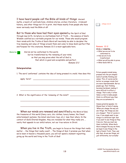I have heard people call the Bible all kinds of things: Ancient myths, a bunch of contradictions, children stories, archaic literature, irrelevant history, and other things not fit to print. And these mostly from people who have never seriously read the Bible at all!

But to those who have had their eyes opened by the Spirit of God through new birth, Scripture is a bottomless font of Truth ... the essence of God's Wisdom codified as a veritable program for our minds. Those who would program their minds with the Truths of God's Word will inevitably be able to decipher the true meaning and value of things around them and come to know God's perfect Plan and Purpose for His creatures. Romans 12:2 is most applicable here.

Memorize **B** 

And do not be conformed to this world, but be transformed by the renewing of your mind, so that you may prove what the will of God is, that which is good and acceptable and perfect. Romans 12:2

## **Interpretation**

1. The word 'conformed' .contains the idea of being pressed in a mold. How does this

\_\_\_\_\_\_\_\_\_\_\_\_\_\_\_\_\_\_\_\_\_\_\_\_\_\_\_\_\_\_\_\_\_\_\_\_\_\_\_\_\_\_\_\_\_\_\_\_\_\_\_\_\_\_\_\_

\_\_\_\_\_\_\_\_\_\_\_\_\_\_\_\_\_\_\_\_\_\_\_\_\_\_\_\_\_\_\_\_\_\_\_\_\_\_\_\_\_\_\_\_\_\_\_\_\_\_\_\_\_\_\_\_

\_\_\_\_\_\_\_\_\_\_\_\_\_\_\_\_\_\_\_\_\_\_\_\_\_\_\_\_\_\_\_\_\_\_\_\_\_\_\_\_\_\_\_\_\_\_\_\_\_\_\_\_\_\_\_\_

apply here? \_\_\_\_\_\_\_\_\_\_\_\_\_\_\_\_\_\_\_\_\_\_\_\_\_\_\_\_\_\_\_\_\_\_\_\_\_\_\_\_\_\_\_\_\_\_\_

\_\_\_\_\_\_\_\_\_\_\_\_\_\_\_\_\_\_\_\_\_\_\_\_\_\_\_\_\_\_\_\_\_\_\_\_\_\_\_\_\_\_\_\_\_\_\_\_\_\_\_\_\_\_\_\_

2. What is the significance of the 'renewing of the mind'?

When our minds are renewed and sanctified by the Word of God, the treasures of this world (fancy cars, chic clothes, luxury homes, the finest entertainment systems, the latest electronic toys, etc.) lose their allure. In the context of God's Eternal Kingdom, they are revealed for what they really are ... vanity that appeals to our sinful nature, not our true nature in Christ.

When you live in the Truth, you begin to focus on the things that really matter ... the things that really count! ... The things of God. I promise you that when we've been in heaven a thousand years, you will not spend a moment regretting giving up the world and living in the Truth of God!



#### **Romans 12:2**

**Circle** or **Underline** ...

- What we are not to be conformed to.
- $\vee$  How we are to be transformed.
- What we will be able to prove.
- What God's Will is.

Picture people's minds being pressed into the pre shaped mold of worldly thinking and values. This, of course works better on younger minds that are more impressionable. But as people age, their thinking becomes hardened, making it more difficult to effect a change. That is why it often takes a crisis to make people think in a different way than they are accustomed to.

Human potential speaker, Dr. Wayne Dyer is fond of saying, 'When you change the way you see things, the things you see are changed.' That of course is true, if you simply want to see things in a different light. But if you want to see things as they truly are, then you must see them truthfully. When God's Word changes the way we think, we begin to see things in the light of God's Truth. Then, and only then, do we see things, not just differently, but actually!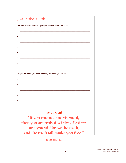# Live in the Truth

List key Truths and Principles you learned from this study:

| $\begin{picture}(150,10) \put(0,0){\vector(1,0){100}} \put(10,0){\vector(1,0){100}} \put(10,0){\vector(1,0){100}} \put(10,0){\vector(1,0){100}} \put(10,0){\vector(1,0){100}} \put(10,0){\vector(1,0){100}} \put(10,0){\vector(1,0){100}} \put(10,0){\vector(1,0){100}} \put(10,0){\vector(1,0){100}} \put(10,0){\vector(1,0){100}} \put(10,0){\vector(1,0){100}}$ |
|--------------------------------------------------------------------------------------------------------------------------------------------------------------------------------------------------------------------------------------------------------------------------------------------------------------------------------------------------------------------|
| $\begin{picture}(150,10) \put(0,0){\vector(1,0){100}} \put(15,0){\vector(1,0){100}} \put(15,0){\vector(1,0){100}} \put(15,0){\vector(1,0){100}} \put(15,0){\vector(1,0){100}} \put(15,0){\vector(1,0){100}} \put(15,0){\vector(1,0){100}} \put(15,0){\vector(1,0){100}} \put(15,0){\vector(1,0){100}} \put(15,0){\vector(1,0){100}} \put(15,0){\vector(1,0){100}}$ |
|                                                                                                                                                                                                                                                                                                                                                                    |
| $\checkmark$ . The contract of the contract of the contract of the contract of the contract of the contract of the contract of the contract of the contract of the contract of the contract of the contract of the contract of the c                                                                                                                               |
| $\begin{picture}(150,10) \put(0,0){\vector(1,0){100}} \put(15,0){\vector(1,0){100}} \put(15,0){\vector(1,0){100}} \put(15,0){\vector(1,0){100}} \put(15,0){\vector(1,0){100}} \put(15,0){\vector(1,0){100}} \put(15,0){\vector(1,0){100}} \put(15,0){\vector(1,0){100}} \put(15,0){\vector(1,0){100}} \put(15,0){\vector(1,0){100}} \put(15,0){\vector(1,0){100}}$ |
|                                                                                                                                                                                                                                                                                                                                                                    |
|                                                                                                                                                                                                                                                                                                                                                                    |
|                                                                                                                                                                                                                                                                                                                                                                    |
|                                                                                                                                                                                                                                                                                                                                                                    |

In light of what you have learned, list what you will do.

| $\checkmark$ |                                                                            |
|--------------|----------------------------------------------------------------------------|
|              |                                                                            |
|              |                                                                            |
|              |                                                                            |
| $\checkmark$ | the control of the control of the control of the control of the control of |
|              |                                                                            |
|              |                                                                            |
|              |                                                                            |
|              |                                                                            |

**Jesus said** 

"If you continue in My word, then you are truly disciples of Mine; and you will know the truth, and the truth will make you free."

John 8:31-32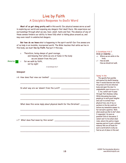# Live by Faith A Disciple's Response to God's Word

**Most of us get along pretty well** in this world. Our physical senses serve us well in exploring our world and exposing any dangers that dwell there. We experience our surroundings through what we see, hear, smell, taste and feel. The absence of any of these senses hinders our ability to know fully what is taking place around us, and may even result in undetected dangers.

**But how do we know** what is happening in the spirit world? Our five senses are of no help in an invisible, incorporeal world. The Bible teaches that while we live in this body, we must **live by Faith**. Paul put it this way.

<sup>6</sup> Therefore, being always of good courage, and knowing that while we are at home in the body we are absent from the Lord

Memorize

for we walk by faith, not by sight

2 Corinthians 4:6-7

\_\_\_\_\_\_\_\_\_\_\_\_\_\_\_\_\_\_\_\_\_\_\_\_\_\_\_\_\_\_\_\_\_\_\_\_\_\_\_\_\_\_\_\_\_\_\_\_\_\_\_\_\_\_\_\_

\_\_\_\_\_\_\_\_\_\_\_\_\_\_\_\_\_\_\_\_\_\_\_\_\_\_\_\_\_\_\_\_\_\_\_\_\_\_\_\_\_\_\_\_\_\_\_\_\_\_\_\_\_\_\_\_

\_\_\_\_\_\_\_\_\_\_\_\_\_\_\_\_\_\_\_\_\_\_\_\_\_\_\_\_\_\_\_\_\_\_\_\_\_\_\_\_\_\_\_\_\_\_\_\_\_\_\_\_\_\_\_\_

\_\_\_\_\_\_\_\_\_\_\_\_\_\_\_\_\_\_\_\_\_\_\_\_\_\_\_\_\_\_\_\_\_\_\_\_\_\_\_\_\_\_\_\_\_\_\_\_\_\_\_\_\_\_\_\_

\_\_\_\_\_\_\_\_\_\_\_\_\_\_\_\_\_\_\_\_\_\_\_\_\_\_\_\_\_\_\_\_\_\_\_\_\_\_\_\_\_\_\_\_\_\_\_\_\_\_\_\_\_\_\_\_

\_\_\_\_\_\_\_\_\_\_\_\_\_\_\_\_\_\_\_\_\_\_\_\_\_\_\_\_\_\_\_\_\_\_\_\_\_\_\_\_\_\_\_\_\_\_\_\_\_\_\_\_\_\_\_\_

\_\_\_\_\_\_\_\_\_\_\_\_\_\_\_\_\_\_\_\_\_\_\_\_\_\_\_\_\_\_\_\_\_\_\_\_\_\_\_\_\_\_\_\_\_\_\_\_\_\_\_\_\_\_\_\_

#### **Interpret**

v 6 How does Paul view our bodies?

In what way are we 'absent from the Lord'? \_\_\_\_\_\_\_\_\_\_\_\_\_\_\_\_\_\_\_\_\_\_\_\_

What does this verse imply about physical death for the Christian? \_\_\_\_\_\_\_

v 7 What does Paul mean by this verse? \_\_\_\_\_\_\_\_\_\_\_\_\_\_\_\_\_\_\_\_\_\_\_\_\_\_\_\_\_\_

# **2 Corinthians 4:6-7**

- **Circle or Underline ...**
- v 6 Where we are while in the body.
- v 7 How we walk. How we should not walk.

#### **'Dying' to Die**

The apostle Paul joyfully anticipated his death knowing that it would liberate him from the prison of his sin infected body and open the door to unspeakable joys (Philippians 1:21).

I, too, cannot wait to pass through that shadowy valley. While discussing how some people go to such great lengths and cost to extend their physical lives, one of my coworkers in the lab could not believe my immediate answer to her sarcastic question, 'Well, when would you like to die?' when I responded, 'As soon as possible!' End of discussion. I cannot wait to live where God rules, where His justice reigns supreme and sin is just a distant memory! We are all made for such a world which is why we feel so out of place in this one!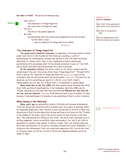#### **But what is Faith?** The writer of Hebrews says,

#### <sup>1</sup> Now faith is



the assurance of things hoped for,

- the conviction of things not seen.
- <sup>2</sup> For by it
	- the men of old gained approval.

<sup>3</sup> By faith

we understand that the worlds were prepared by the word of God, so that what is seen

was not made out of things which are visible.

Hebrews 11:1-3

#### **'The Assurance of Things Hoped For'**

**The greek word translated 'assurance'** is hupostasis. It literally means 'to stand under' and refers to the foundation that holds up a building, a contract guaranteeing the commitments between two parties or the title deed certifying ownership of a house. Faith, then, is the foundation of God's commitment guaranteeing that we possess what He has already promised to give us. True Faith has no doubt that what God has promised He is able to provide!

**In the immediate context,** the writer refers to our future 'reward' and the 'preserving of the soul'. How do we attain these 'things hoped for'? Through Faith! Faith in God as the 'rewarder of those who seek Him' (Hebrews 11:6b), gives us the confidence that He will provide what He has promised  $(1 J_{\text{ohn}} 5:14-15)$ . The basis for our salvation, and for everything we hope for in Christ, is our faith in God's righteousness, not our own, for 'without faith it is impossible to please (God)'.

**Many would like to see the LORD** with their physical eyes, because they think their faith would be strengthened by it. But remember what the LORD said to Thomas, 'Because you have seen Me, have you believed? **Blessed are they who did not see, and yet believed.**' (John 20:29) Faith does not need to see to believe. It 'sees' because it believes! Beware of needing to see something of God in order to believe.

## **When Seeing is Not Believing!**

**Many years ago** my optometrist joined a Christian cult because missionaries from that group had visited his office situated near their place of meeting. When he responded skeptically, they told him to pray and ask God to tell him if what they shared was of God. He said days later he was watching an old movie on the TV when, in the middle of the movie, one of the actors turned to look directly at him and said, 'The missionaries are telling you the truth.' The movie then continued on as if nothing happened. Satan can perform 'signs and wonders', too, and if our faith is dependent on seeing a sign, beware of where it leads. That cult teaches many key doctrines contradictory to Scripture, including a salvation by works. Remember, it is Scripture that determines Truth, not a spiritual experience. For if we do not trust in Scripture alone, we will be a victim of satan who disguises himself even as an 'angel of light'!

#### **Hebrews 11:1-3 Circle or Underline ...**

v 1 What 'faith' is the assurance of. What 'faith' is the conviction of. v 2 What 'men of old' gained by faith. v 3

What we understand by faith. What the visible is not made of.

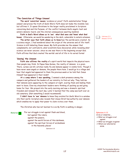#### **'The Conviction of Things Unseen'**

**The word 'conviction' means** 'evidence or proof'. Faith substantiates 'things unseen' and proves the truth of God's Word. Faith does not make the invisible real, but affirms it. It opens Christians to the larger reality proclaimed in Scripture concerning God and His Purpose, of the conflict between God's angelic host and satan's demonic hoard, and the eternal consequences awaiting mankind.

**Faith in God's Word allows us to 'see' what God sees and 'know' what God knows.** Otherwise, we would be wandering in the dark, vulnerable to satan's schemes.

**The writer says that faith allows us to know** how 'the worlds were created'. As a science major, I had wondered about the origin of the universe and of life itself. Science is still debating these issues. My faith provides me the answer that complements, not contradicts, what scientists have discovered, while revealing what science can never uncover, since no one was there in the beginning except God. Faith affirms that God created 'the worlds' and all of life in its varied forms!

## **'Seeing' the Unseen**

**Faith also affirms the reality** of a spirit world that impacts the physical more than people may think. In Papua New Guinea, the reality of demons is a given. There, curses can kill, witches really fly and demons appear in visible form. Though I have never seen angels or demons, the people there have. I would go to a village and hear that angels had appeared to them the previous week or be told that Jesus Himself had appeared in their midst!

**At a camp where I was speaking,** I sensed a dark presence among the campers and gathered the leaders of our ministry to find out why. They told me that demons were appearing to the campers at night, scaring them and making them want to leave. Even my staunchest leaders were thinking of packing up and going home for fear. We prayed into the early morning and saw a dramatic spiritual freedom and renewal the next day. Later I learned that the camp was built over an old cemetery. (Not something I would recommend!)

**I didn't have to 'see' demons** to know they existed for God's Word is a window into their world. Scripture also reveals that Jesus Christ has authority over demons which enables me to apply that power to claim victory over them.

The Christian who has not learned to Live By Faith is walking in danger,

Memorize

'For our struggle is not against flesh and blood, but against the rulers, against the powers, against the world forces of this darkness, against the spiritual forces of wickedness in the heavenly places' Ephesians 6:12

Hebrews 11:3 Romans 1:19-22

#### **Ephesians 6:12**

- Circle or Underline ...  $\vee$  What our struggle is not against.
- $\vee$  What our struggle is against. Where our adversaries abide.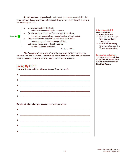**In this warfare,** physical might and street smarts are no match for the power and evil deceptions of our adversaries. They will win every time if those are our only weapons. But ...

- <sup>3</sup> ... though we walk in the flesh,
	- we do not war according to the flesh,
	- <sup>4</sup> for the weapons of our warfare are not of the flesh, but divinely powerful for the destruction of fortresses.
	- <sup>5</sup> We are destroying speculations and every lofty thing raised up against the knowledge of God,
		- and we are taking every thought captive
			- to the obedience of Christ,

2 Corinthians 10:3-5

**The 'weapons of our warfare'** are 'divinely powerful' for they are the Spirit of God and His Word, with which we strike down satan's lies and sanctify our minds to holiness. There is no other way to be victorious by Faith!

# Living By Faith

Memorize **E** 

**List key Truths and Principles** you learned from this study:

| <u> 1989 - Johann Harry Harry Harry Harry Harry Harry Harry Harry Harry Harry Harry Harry Harry Harry Harry Harry Harry Harry Harry Harry Harry Harry Harry Harry Harry Harry Harry Harry Harry Harry Harry Harry Harry Harry Ha</u> |
|--------------------------------------------------------------------------------------------------------------------------------------------------------------------------------------------------------------------------------------|
|                                                                                                                                                                                                                                      |
| <u> 1990 - Johann Barbara, martin amerikan basal da</u>                                                                                                                                                                              |
|                                                                                                                                                                                                                                      |
| <u> 1989 - Johann Harry Harry Harry Harry Harry Harry Harry Harry Harry Harry Harry Harry Harry Harry Harry Harry</u>                                                                                                                |
|                                                                                                                                                                                                                                      |
|                                                                                                                                                                                                                                      |
|                                                                                                                                                                                                                                      |
|                                                                                                                                                                                                                                      |
|                                                                                                                                                                                                                                      |

**In light of what what you learned,** list what you will do.

| $\begin{picture}(20,10) \put(0,0){\vector(1,0){100}} \put(15,0){\vector(1,0){100}} \put(15,0){\vector(1,0){100}} \put(15,0){\vector(1,0){100}} \put(15,0){\vector(1,0){100}} \put(15,0){\vector(1,0){100}} \put(15,0){\vector(1,0){100}} \put(15,0){\vector(1,0){100}} \put(15,0){\vector(1,0){100}} \put(15,0){\vector(1,0){100}} \put(15,0){\vector(1,0){100}} \$ |
|---------------------------------------------------------------------------------------------------------------------------------------------------------------------------------------------------------------------------------------------------------------------------------------------------------------------------------------------------------------------|
|                                                                                                                                                                                                                                                                                                                                                                     |
| $\blacktriangleright$                                                                                                                                                                                                                                                                                                                                               |
|                                                                                                                                                                                                                                                                                                                                                                     |
|                                                                                                                                                                                                                                                                                                                                                                     |
|                                                                                                                                                                                                                                                                                                                                                                     |

#### **2 Corinthians 10:3-5 Circle or Underline ...**

- v 3 How we do not war.
- v 4 What are not of the flesh. What they are divinely powerful for.
- v 5 What we are destroying. What we are taking captive. To what we capture them.

## **For practical applications** of

this lesson, study **Discipleship Study Book #2**, lessons 4 & 5 available to download free at BibleStudyCD.com.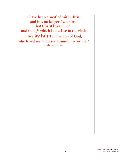"I have been crucified with Christ; and it is no longer I who live, but Christ lives in me; and the *life* which I now live in the flesh I live by faith in the Son of God, who loved me and gave Himself up for me." Galatians 2:20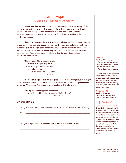# Live in Hope A Disciple's Response to Adversity

**No one can live without Hope.** It is as essential to the sustaining of the soul as water and food are for the body. A life without Hope is a life without a future. The lack of Hope is the absence of a secure and bright tomorrow, quenching a person's reason to live for today. Many have extinguished their lives for this very reason.

**Christians, however, have a future** worth living for. Their ultimate destiny is an eternity in a new heaven and new earth with their God and Savior. But their immediate future is a life made secure by God. Christians reborn to eternal life have a reason to persevere through every earthly trial, which in comparison is a mere moment. Jesus encouraged His disciples just before His arrest and crucifixion when He said,

"These things I have spoken to you, so that in Me you may have peace. In the world you have tribulation, but take courage; I have overcome the world." John 16:33

**The Christian life is not trouble free!** Jesus makes that plain. But it ought to be free from anxiety, for Jesus, who possesses all authority, is our **provider** and **protector**. The apostle Paul, who was very familiar with trials, wrote:

"And my God shall supply all your needs according to His riches in glory in Christ Jesus." Philippians 4:19

# Interpretation

1. In light of the context (read Philippians 4:10-18) what kind of 'needs' is Paul referring

\_\_\_\_\_\_\_\_\_\_\_\_\_\_\_\_\_\_\_\_\_\_\_\_\_\_\_\_\_\_\_\_\_\_\_\_\_\_\_\_\_\_\_\_\_\_\_\_\_\_\_\_\_\_\_\_

\_\_\_\_\_\_\_\_\_\_\_\_\_\_\_\_\_\_\_\_\_\_\_\_\_\_\_\_\_\_\_\_\_\_\_\_\_\_\_\_\_\_\_\_\_\_\_\_\_\_\_\_\_\_\_\_

\_\_\_\_\_\_\_\_\_\_\_\_\_\_\_\_\_\_\_\_\_\_\_\_\_\_\_\_\_\_\_\_\_\_\_\_\_\_\_\_\_\_\_\_\_\_\_\_\_\_\_\_\_\_\_\_

to? \_\_\_\_\_\_\_\_\_\_\_\_\_\_\_\_\_\_\_\_\_\_\_\_\_\_\_\_\_\_\_\_\_\_\_\_\_\_\_\_\_\_\_\_\_\_\_\_\_\_\_\_\_

2. In light of Ephesians 3:8, why are the future of Christians secure? \_\_\_\_\_\_\_\_

## **John 16:33**

## **Circle or Underline ...**

- Where we may have peace.
- Where we have tribulation.
- What we should take.
- What Jesus has overcome.

 Jesus guaranteed tribulation while in this world. So don't expect a perfect, trouble free existence! Instead, learn to replace your fear and anxiety with hope, for Jesus, the over comer, is with us!

## **Philippians 4:19**

#### **Circle or Underline ...**

- What God shall supply.
- $\vee$  How He will supply them.



## Jesus knows our every need, be it physical, intellectual, social, emotional, financial or spiritual. He has walked in our shoes and is familiar with the desires that drive each of us. And He has the perfect provision which He will supply at the right time if

we will only trust Him. And because His supplies are 'unfathomable' we need never worry that He will ever be without!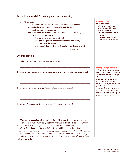# Jesus is our model for triumphing over adversity.

<sup>1</sup> Therefore, since we have so great a cloud of witnesses surrounding us, let us also lay aside every encumbrance and the sin which so easily entangles us, and let us run with endurance the race that is set before us, <sup>2</sup> fixing our eyes on Jesus, the author and perfecter of faith,

who for the joy set before Him endured the cross, despising the shame,

and has sat down at the right hand of the throne of God.

Hebrews 12:1-2

# Interpretation

- 1. Who are the 'cloud of witnesses' in verse 1?
- 2. How is the imagery of a runner used as an example of Christ centered living?

\_\_\_\_\_\_\_\_\_\_\_\_\_\_\_\_\_\_\_\_\_\_\_\_\_\_\_\_\_\_\_\_\_\_\_\_\_\_\_\_\_\_\_\_\_\_\_\_\_\_\_\_\_\_\_\_

\_\_\_\_\_\_\_\_\_\_\_\_\_\_\_\_\_\_\_\_\_\_\_\_\_\_\_\_\_\_\_\_\_\_\_\_\_\_\_\_\_\_\_\_\_\_\_\_\_\_\_\_\_\_\_\_

\_\_\_\_\_\_\_\_\_\_\_\_\_\_\_\_\_\_\_\_\_\_\_\_\_\_\_\_\_\_\_\_\_\_\_\_\_\_\_\_\_\_\_\_\_\_\_\_\_\_\_\_\_\_\_\_

\_\_\_\_\_\_\_\_\_\_\_\_\_\_\_\_\_\_\_\_\_\_\_\_\_\_\_\_\_\_\_\_\_\_\_\_\_\_\_\_\_\_\_\_\_\_\_\_\_\_\_\_\_\_\_\_

\_\_\_\_\_\_\_\_\_\_\_\_\_\_\_\_\_\_\_\_\_\_\_\_\_\_\_\_\_\_\_\_\_\_\_\_\_\_\_\_\_\_\_\_\_\_\_\_\_\_\_\_\_\_\_\_

\_\_\_\_\_\_\_\_\_\_\_\_\_\_\_\_\_\_\_\_\_\_\_\_\_\_\_\_\_\_\_\_\_\_\_\_\_\_\_\_\_\_\_\_\_\_\_\_\_\_\_\_\_\_\_\_

\_\_\_\_\_\_\_\_\_\_\_\_\_\_\_\_\_\_\_\_\_\_\_\_\_\_\_\_\_\_\_\_\_\_\_\_\_\_\_\_\_\_\_\_\_\_\_\_\_\_\_\_\_\_\_\_

- 3. How does 'fixing our eyes on Jesus' help us endure the face? \_\_\_\_\_\_\_\_\_\_\_\_\_\_\_\_
- 4. How did Jesus endure the suffering and shame of the cross? \_\_\_\_\_\_\_\_\_\_\_\_\_\_\_\_\_\_

**The key to enduring adversity** is to lay aside every distraction in order to focus on the one thing that really matters. Then, adversities can be seen in their proper perspective ... insignificant in comparison to the final goal.

**Many Christians hold to a belief** that they will be spared the ultimate tribulation and suffering. But it is presumptuous to assume that they will be spared what Christians through the ages, and around the world, were not. The only thing that will bring us through suffering victoriously is the secure hope of seeing Jesus on the other side!

# **Hebrews 12:1-2**

## **Circle or Underline ...**

- Who is surrounding us.
- What we should lay aside.
- How we should run.
- On what we should fix our eyes.
- What Jesus focused on in order to endure the cross.

#### **Running Through Adversity**

The writer evokes the image of a stadium crowd, cheering on the athletes who have stripped off everything that might encumber their chances for victory, and who must now endure the agony of pain as they push themselves to excel for the prize. Their only hope is to focus on the finish line where stands their mentor holding the prize awaiting at their end.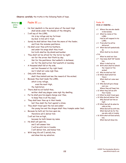**Observe carefully** the truths in the following Psalm of hope.

| Memorize $\mathbf{B}$ |                | Psalm 91 $(KJV)$                                                                                                                                            |         | Psalm 91                                                                                         |
|-----------------------|----------------|-------------------------------------------------------------------------------------------------------------------------------------------------------------|---------|--------------------------------------------------------------------------------------------------|
| entire                |                |                                                                                                                                                             |         | Circle or Underline                                                                              |
| Psalm                 | $\mathbf{1}$   | He that dwelleth in the secret place of the most High<br>shall abide under the shadow of the Almighty.                                                      |         | v 1 Where the one who dwells<br>in God abides.                                                   |
|                       | $\overline{c}$ | I will say of the LORD,<br>He is my refuge and my fortress:<br>my God; in him will I trust.                                                                 |         | v 2 What he claims of the<br>LORD.<br>How he will respond to his                                 |
|                       | 3              | Surely he shall deliver thee from the snare of the fowler,<br>and from the noisome pestilence.                                                              |         | LORD.<br>v 3 From what he will be                                                                |
|                       | 4              | He shall cover thee with his feathers,<br>and under his wings shalt thou trust:<br>his truth shall be thy shield and buckler.                               |         | delivered.<br>v 4 What God will symbolically<br>do.<br>What shall be his shield.                 |
|                       | 5              | Thou shalt not be afraid for the terror by night;<br>nor for the arrow that flieth by day;                                                                  | $v$ 5-6 | What he shall not fear.                                                                          |
|                       | 6              | Nor for the pestilence that walketh in darkness;<br>nor for the destruction that wasteth at noonday.                                                        |         | v 7 How many shall 'fall" beside<br>him.<br>What it shall not do.                                |
|                       | 7              | A thousand shall fall at thy side,<br>and ten thousand at thy right hand;<br>but it shall not come nigh thee.                                               |         | v 8 With what shall he behold<br>the 'reward of the<br>wicked'.                                  |
|                       | 8              | Only with thine eyes<br>shalt thou behold and see the reward of the wicked.                                                                                 |         | v 9 Why he shall not fall.<br>v 10 What shall befall him<br>'there'.                             |
|                       | 9              | Because thou hast made the LORD,<br>which is my refuge,<br>even the most High,<br>thy habitation;                                                           |         | What shall not come near<br>him.<br>v 11 Who God will give charge<br>over you.                   |
|                       | 10             | There shall no evil befall thee,<br>neither shall any plague come nigh thy dwelling.                                                                        |         | Where they will 'keep' him.<br>v 12 What they will do with<br>their hands.                       |
|                       | 11             | For he shall give his angels charge over thee,<br>to keep thee in all thy ways.                                                                             |         | v 13 What he shall tread upon.<br>v 14 Why God will deliver 'him'.                               |
|                       | 12             | They shall bear thee up in their hands,<br>lest thou dash thy foot against a stone.                                                                         |         | Why God will 'set him on<br>high'.<br>v 15 What God will do when he                              |
|                       | 13             | Thou shalt tread upon the lion and adder:<br>the young lion and the dragon shalt thou trample under feet.                                                   |         | calls on Him.<br>When God will be with him.                                                      |
|                       | 14             | Because he hath set his love upon me,<br>therefore will I deliver him:<br>I will set him on high,                                                           |         | What God will do for the<br>one who calls in trouble.<br>v 16 With what will God satisfy<br>him. |
|                       | 15             | because he hath known my name.<br>He shall call upon me,<br>and I will answer him:<br>I will be with him in trouble:<br>I will deliver him, and honour him. |         | What God will show him.                                                                          |
|                       | 16             | With long life will I satisfy him,<br>and shew him my salvation.                                                                                            |         |                                                                                                  |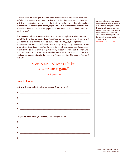**I do not want to leave you** with the false impression that no physical harm can befall a Christian who trusts God. The history of the Christian Church is littered with the sufferings of her martyrs ... faithful men and women of God who would not compromise nor retreat from testifying of God's Love and Holiness. Even the Son of God who knew no sin suffered physical torture and execution! Should we expect anything less?

**The psalmist's ultimate message** is that no matter what physical adversity may befall the Christian, **he cannot lose**. Even if our persecutors were to kill us, we still win! Death is but a door to a life of unimaginable beauty, joys and pleasures. (1 Corinthians 2:9, Psalm 16:11) I myself cannot wait for my corrupt body to breathe its last breath in anticipation of inhaling the celestial air of heaven and opening my eyes to behold the splendor of my LORD's glory! My executors will be but doormen who will open the way for me into God's paradise, and I will thank them for it. Such is the hope we possess. Such is the hope in which we must live! The apostle Paul put it this way.

# "For to me, to live is Christ, and to die is gain."

Philippians 1:21

# Live in Hope

**List key Truths and Principles** you learned from this study:

| $\begin{aligned} \sum_{i=1}^n \mathbf{1}_{\{i\}} & \mathbf{1}_{\{i\}} & \mathbf{1}_{\{i\}} & \mathbf{1}_{\{i\}} & \mathbf{1}_{\{i\}} & \mathbf{1}_{\{i\}} & \mathbf{1}_{\{i\}} & \mathbf{1}_{\{i\}} & \mathbf{1}_{\{i\}} & \mathbf{1}_{\{i\}} & \mathbf{1}_{\{i\}} & \mathbf{1}_{\{i\}} & \mathbf{1}_{\{i\}} & \mathbf{1}_{\{i\}} & \mathbf{1}_{\{i\}} & \mathbf{1}_{\{i\}} & \mathbf{1}_{\{i\}} & \math$ |
|-----------------------------------------------------------------------------------------------------------------------------------------------------------------------------------------------------------------------------------------------------------------------------------------------------------------------------------------------------------------------------------------------------------|
|                                                                                                                                                                                                                                                                                                                                                                                                           |
|                                                                                                                                                                                                                                                                                                                                                                                                           |
|                                                                                                                                                                                                                                                                                                                                                                                                           |
|                                                                                                                                                                                                                                                                                                                                                                                                           |

**In light of what what you learned,** list what you will do.

Jesus prophesied a coming time when Believers worldwide will be subject to intense persecution like nothing the world has seen before, resulting in many 'falling away'. Only those Christians who have learned to persevere in hope will endure and stand till the last day! Matthew 24:9-13, 21-22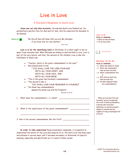# Live in Love

# A Disciple's Response to God's Love

**Jesus was not only God incarnate,** He was also God's Love fleshed out. He personified a perfect love for God and for men. And He expected His disciples to do likewise.

Memorize **5** 

"By this all men will know that you are My disciples, if you have love for one another."

John 13:35

**Love is to be the identifying mark** of Christians. It is what ought to set us apart from everyone else. Why? Because we belong to God and God is Love. Love is part of His very nature, and thus, the natures of His children. Love is also the fulfillment of God's Law.

- <sup>36</sup> "Teacher, which is the great commandment in the Law?"
- <sup>37</sup> And (Jesus) said to him, "'YOU SHALL LOVE THE LORD YOUR GOD WITH ALL YOUR HEART, AND WITH ALL YOUR SOUL, AND WITH ALL YOUR MIND.'
- <sup>38</sup> "This is the great and foremost commandment.
- <sup>39</sup> "The second is like it, 'YOU SHALL LOVE YOUR NEIGHBOR AS YOURSELF.'
- <sup>40</sup> "On these two commandments depend the whole Law and the Prophets."

Matthew 22:36-40

1. What does the commandment  $(v \times 37)$  mean?

2. What is the significance of the great commandment?

3. How is the second commandment like the first?

**In order to fully understand** these preeminent commands, it is essential to understand the nature of the Love God expects of us. The word 'Love' has been used and misused in various ways, and it becomes necessary to determine its specific meaning, especially and specifically as it is used in these verses.

\_\_\_\_\_\_\_\_\_\_\_\_\_\_\_\_\_\_\_\_\_\_\_\_\_\_\_\_\_\_\_\_\_\_\_\_\_\_\_\_\_\_\_\_\_\_\_\_\_\_\_\_\_\_\_\_

\_\_\_\_\_\_\_\_\_\_\_\_\_\_\_\_\_\_\_\_\_\_\_\_\_\_\_\_\_\_\_\_\_\_\_\_\_\_\_\_\_\_\_\_\_\_\_\_\_\_\_\_\_\_\_\_

\_\_\_\_\_\_\_\_\_\_\_\_\_\_\_\_\_\_\_\_\_\_\_\_\_\_\_\_\_\_\_\_\_\_\_\_\_\_\_\_\_\_\_\_\_\_\_\_\_\_\_\_\_\_\_\_

## **John 13:35**

**Circle or Underline ...** What all men will know.  $\vee$  If we have what.



## **Matthew 22:36-40**

**Circle or Underline ...**

- v 36 What was asked of Jesus.
- v 37 What was commanded. How we must love God.
- v 38 What commandment this is.
- v 39 Who else we must love. How we must love.
- v 40 On what depends these two commandments.

 When we love God first and foremost, we are recognizing the truth of God's preeminence. A person who loves God absolutely is a person properly aligned to Heaven and one capable of living a meaningful life on Earth.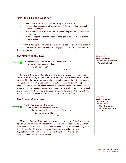# First, this kind of Love is not ...

- 1. ... sexual in nature, as in the phrase, "They made love in bed."
- 2. ... lust, as when young men tell young women "I love you," when they really mean "I want you".
- 3. ... the attraction that draws us to a person or thing we find captivating or rewarding.
- 4. ... even the affection shared among friends, family or people with shared experiences.

**So what is this Love?** The writers of Scripture chose the Greek word 'agape' to symbolize this kind of Love And they defined agape by the way they applied it to God's Love for us.

# The Nature of this Love

Memorize **E** 

"But God demonstrates His own love (agape) toward us, in that while we were yet sinners, Christ died for us."

Romans 5:8

**Romans 5:8 shows us the nature of this Love.** It comes from God Himself ('His own love') expressing His own nature (He loved us 'while we were yet sinners'). **It is not influenced by the attractiveness or the pleasurableness of the object or person.**  This Love originates from God's very Being and expresses the priorities of His heart. It shows us what He **values** and what He **esteems**. Here, it is the salvation of people who are 'yet sinners', who possess no worth in themselves, but only that which is given them by God. He loves us because He **chooses** to love us. And only with this love, God's love, are we are able to love unconditionally and unfailingly.

# The Extent of this Love

Memorize  $\boxed{\rightarrow}$ 

"For God so loved (agape) the world, that He gave His only begotten Son, that whoever believes in Him should not perish, but have eternal life." John 3:16

**Whereas Romans 5:8 shows us** the nature of this Love, John 3:16 shows us its **extent**. God 'gave His only begotten Son' for a world in rebellion, knowing that most would spurn His offer of peace and continue in their prideful and misguided lives. Yet God loved them still! He was willing to pay the highest price as a demonstration of the value He placed on our lives. Such is the kind of Love commanded and expected of us by God!

#### **Romans 5:8**

**Circle or Underline ...** What God demonstrates. When Christ died.

#### **John 3:16**

**Circle or Underline ...** Who God loved.

What God gave. Who will not perish. What those who believe have.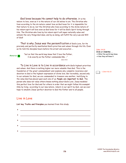God loves because He cannot help to do otherwise. It is His nature to love, even as it is the nature of our old selves to sin. The Christian who lives according to the sin nature cannot love as God loves for it is impossible for that nature to do so, but the Christian who lives according to the divine nature of his reborn spirit will love even as God loves for it will be God's Spirit loving through Him. The Christian who lives by his reborn spirit will super-naturally value and esteem the very things God does, and by so doing, will fulfill the very Law and Will of God!

That is why Jesus was the personification of God's Love, for He precisely and perfectly manifested God's priorities and values through His life. Even as He told His disciples hours before His arrest and execution ...



"but so that the world may know that I love the Father, I do exactly as the Father commanded Me. .."

John 14:31

To Live in Love is to Live in accordance with God's highest priorities and values. And there is nothing higher nor more valuable than God. This is the foundation of the great commandment and explains why complete reverence and devotion to God is the highest expression of divine love. But incredibly, second only to our esteem for God, we are commanded to treasure one another, testifying to the value God has placed upon each one of us. **People are important to God.** The person who does not value others knows nothing about God's Love. Jesus modeled this perfect love for God and for others in order that we might follow His example! Only by living according to our new nature, reborn in our spirit by God, can we ever hope to emulate Jesus' perfect devotion to God the Father and to all people.

# Live in Love

**List key Truths and Principles** you learned from this study:

| $\begin{picture}(20,10) \put(0,0){\vector(1,0){10}} \put(15,0){\vector(1,0){10}} \put(15,0){\vector(1,0){10}} \put(15,0){\vector(1,0){10}} \put(15,0){\vector(1,0){10}} \put(15,0){\vector(1,0){10}} \put(15,0){\vector(1,0){10}} \put(15,0){\vector(1,0){10}} \put(15,0){\vector(1,0){10}} \put(15,0){\vector(1,0){10}} \put(15,0){\vector(1,0){10}} \put(15,0){\vector(1$ |
|-----------------------------------------------------------------------------------------------------------------------------------------------------------------------------------------------------------------------------------------------------------------------------------------------------------------------------------------------------------------------------|
|                                                                                                                                                                                                                                                                                                                                                                             |
|                                                                                                                                                                                                                                                                                                                                                                             |
|                                                                                                                                                                                                                                                                                                                                                                             |
| $\blacktriangleright$                                                                                                                                                                                                                                                                                                                                                       |
|                                                                                                                                                                                                                                                                                                                                                                             |

## **John 14:31**

**Circle or Underline ...**  $\vee$  What the world may know.  $\vee$  How they will know it.

1 John 4:16-21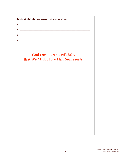**In light of what what you learned,** list what you will do.

| the control of the control of the control of the control of the control of |
|----------------------------------------------------------------------------|
|                                                                            |
| the control of the control of the control of the control of the control of |
|                                                                            |
|                                                                            |
|                                                                            |
|                                                                            |

# God Loved Us Sacrificially that We Might Love Him Supremely!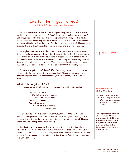# Live for the Kingdom of God

A Disciple's Response to the King

**Do you remember those old movies** portraying medieval battle scenes of knights in armor led by heroic kings? I don't know how historical they were, but I was always inspired by the inevitable scene of a knight shouting, 'To the king!', around whom they would rally and raise their standard. I was moved by men in arms who would willingly lay down their lives for the greater cause of their king and their kingdom. There is something noble in having a cause one is willing to die for.

**Disciples have such a noble cause.** It is a cause that is certainly worth living for, and even more, worth dying for! Indeed, in the light of this cause, every other endeavor we involve ourselves in pales in comparison. Every other thing we may build or work for in this life will eventually pass away, but everything done for God's Kingdom will endure for eternity. That alone should capture our hearts and imaginations, and compel us to forsake all else except this one worthy cause!

**It was the priority of Jesus' life.** Everything He did and said reflected His complete devotion to the One who sits on God's Throne in Heaven. Christ's disciples ought to do no less for their LORD, for He is worthy of our complete devotion!

# What is the Kingdom of God?

Jesus answers that question in the prayer He taught His disciples.

- <sup>9</sup> "Pray, then, in this way: 'Our Father who is in heaven, Hallowed be Your name.
- <sup>10</sup> '**Your kingdom come. Your will be done,**  On earth as it is in heaven. Matthew 6:9-10

**The Kingdom of God is** where God rules absolutely and His will fulfilled perfectly. This present world lives in a state of rebellion against the King of the Universe, instigated by the devil who has established his own counterfeit kingdom among men who worship at the altar of Self.

**But isn't it your genuine desire** to live under the rule of the King whose Kingdom is perfect love and justice? It is for such a life that God created us in Christ! Our spirits will not be fulfilled anywhere else! The sooner we understand and accept this, the sooner our lives will gain a significance infinitely beyond anything this world can offer.

2 Corinthians 5:17-21

**Matthew 6:9-10 Circle or Underline ...**

- v 9 How Jesus refers to God.
- v 10 What Jesus prays to come. What He prays to be done. Where He prays it to be done.

The Kingdom of God is as much a state as a place. Wherever God reigns supremely, His Nature is manifested completely. There love, holiness, justice, truth, grace and all that God is, becomes the norm and reality of all who dwell in it.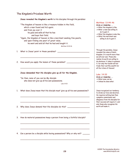# The Kingdom's Priceless Worth

|    | Jesus revealed the Kingdom's worth to His disciples through His parables:                                                                                                               |
|----|-----------------------------------------------------------------------------------------------------------------------------------------------------------------------------------------|
|    | "The kingdom of heaven is like a treasure hidden in the field,<br>which a man found and hid again;<br>and from joy over it<br>he goes and sells all that he has<br>and buys that field. |
|    | "Again, the kingdom of heaven is like a merchant seeking fine pearls,<br>and upon finding one pearl of great value,<br>he went and sold all that he had and bought it.                  |
|    | Matthew 13:44-46                                                                                                                                                                        |
| 1. | What is Jesus' point in these parables?                                                                                                                                                 |
| 2. | How would you apply the lesson of these parables?                                                                                                                                       |
|    | Jesus demanded that His disciples give up all for the Kingdom.<br>"So then, none of you can be My disciple<br>who does not give up all his own possessions.<br>Luke 14:33               |
| 1. | What does Jesus mean that His disciple must 'give up all his own possessions'?                                                                                                          |
|    |                                                                                                                                                                                         |
| 2. | Why does Jesus demand that His disciples do this?                                                                                                                                       |
| 3. | How do material possessions keep a person from being a faithful disciple?                                                                                                               |
|    |                                                                                                                                                                                         |
| 4. | Can a person be a disciple while having possessions? Why or why not?                                                                                                                    |
|    |                                                                                                                                                                                         |

# **Matthew 13:44-46**

# **Circle or Underline ...**

- What the kingdom is like.
- What .a man was willing to do to gain it.
- What the kingdom is also like.
- What the merchant was willing to do to gain it.

Through His parables, Jesus revealed the value of God's Kingdom. It is worth more than we will ever own. Those who realize its worth are willing to do whatever it takes to possess it, for only the foolish will not trade their earthly wealth for all the riches of Heaven!

# **Luke 14:33**

- **Circle or Underline ...**
- What none can be.
- Unless he does what.

Jesus recognized our tendency to divide our love and devotion. He requires nothing less than complete commitment and allegiance from His disciples for their success will require it, and only those who recognize His worth will make it.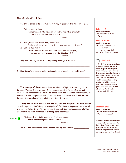# The Kingdom Proclaimed

Christ has called us to continue His ministry to proclaim the Kingdom of God.

But He said to them, "**I must preach the kingdom of God** to the other cities also, **for I was sent for this purpose**."

Luke 4:43

- <sup>59</sup> And (Jesus) said to another, "Follow Me." But he said, "Lord, permit me first to go and bury my father." <sup>60</sup> But He said to him,
- "Allow the dead to bury their own dead; **but as for you, go and proclaim everywhere the kingdom of God**." Luke 9:59-60
- 1. Why was the Kingdom of God the primary message of Christ? \_\_\_\_\_\_\_\_\_\_\_\_\_\_\_\_\_\_\_
- 2. How does Jesus demonstrate the importance of proclaiming the Kingdom?

\_\_\_\_\_\_\_\_\_\_\_\_\_\_\_\_\_\_\_\_\_\_\_\_\_\_\_\_\_\_\_\_\_\_\_\_\_\_\_\_\_\_\_\_\_\_\_\_\_\_\_\_\_\_\_\_

\_\_\_\_\_\_\_\_\_\_\_\_\_\_\_\_\_\_\_\_\_\_\_\_\_\_\_\_\_\_\_\_\_\_\_\_\_\_\_\_\_\_\_\_\_\_\_\_\_\_\_\_\_\_\_\_

\_\_\_\_\_\_\_\_\_\_\_\_\_\_\_\_\_\_\_\_\_\_\_\_\_\_\_\_\_\_\_\_\_\_\_\_\_\_\_\_\_\_\_\_\_\_\_\_\_\_\_\_\_\_\_\_

**The coming of Jesus** marked the initial stab of light into the kingdom of darkness. The words and works of Christ pushed back the forces of satan and established a beachhead for Christ's followers. With the departure of their LORD to heaven, it is now the primary task of His followers to continue the assault on the darkness that envelopes those blinded by satan's deception.

**Today** the cry must resound, **'For the King and His Kingdom!'** We must answer the call to proclaim God's Kingdom 'everywhere', for there is no greater work for all who claim to follow Christ. To live for the Kingdom of God must supersede all other activities in our lives, for **there is nothing more important!**

\_\_\_\_\_\_\_\_\_\_\_\_\_\_\_\_\_\_\_\_\_\_\_\_\_\_\_\_\_\_\_\_\_\_\_\_\_\_\_\_\_\_\_\_\_\_\_\_\_\_\_\_\_\_\_\_

Memorize B

"But seek first His kingdom and His righteousness, and all these things will be added to you.

Matthew 6:33

1. What is the significance of the second part of this verse?

#### **Luke 4:43**

**Circle or Underline ...** What Jesus must do. Why.

## **Luke 9:59-60**

**Circle or Underline ...** v 59 What Jesus said to another. How he responded. v 60 What Jesus told him to do.

Isaiah 9:6-7

 At His first appearance, Jesus came as a servant proclaiming God's Kingdom, knowing that those who would not embrace His message would be doomed to everlasting punishment (Matthew 25:46) . He also knew that one day He would return as King, a position for which He was destined and of which many prophecies were given. **Handel's Messiah** is the ultimate testimony of this truth.

**Matthew 6:33**

**Circle or Underline ...** What we must seek first. What will be added.

We often do the less important things first and never gain the best. Here, Jesus is setting our priorities in order. If we will seek His Kingdom first, He will surely provide the other things.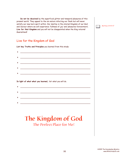**Do not be deceived** by the superficial glitter and temporal pleasures of this present world. They appeal to the sin nature infecting our flesh but will never satisfy our new born spirit within. Our destiny is the eternal Kingdom of our God and Saviour where we will experience 'fullness of joy' and 'pleasures forevermore'. **Live for that Kingdom** and you will not be disappointed when the King returns! Guaranteed!



# Live for the Kingdom of God

**List key Truths and Principles** you learned from this study:

| <u> 1989 - Johann Barn, margaret amerikan basal dan berasal dalam basal dalam basal dalam basal dalam basal dala</u>  |
|-----------------------------------------------------------------------------------------------------------------------|
|                                                                                                                       |
| <u> 1980 - Johann Harry Barn, mars ar breist ar yn y breist yn de breist ar y breist ar y breist ar y breist ar b</u> |
|                                                                                                                       |
|                                                                                                                       |
|                                                                                                                       |
|                                                                                                                       |

**In light of what what you learned,** list what you will do.

# The Kingdom of God The Perfect Place for Me!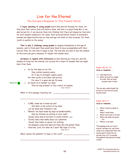# Live for the Eternal The Disciple's Response to This Present World

**I enjoy speaking to young people** about God and His Purpose for them, for they have their entire lives still before them, and that is a good thing! But it can also be bad for it can deceive them into thinking that there will always be time later for such weighty endeavors. For many, their procrastination results in unrealized dreams and opportunities lost as time and age rob them of their promise. For them, 'youth is wasted on the young'.

**That is why I challenge young people** to imagine themselves at the age of seventy, and to think what they would have liked to have accomplished with their lives by then, for the time to begin is now. The few who are able to see the wisdom of this exercise gain a measure of insight that eludes most.

**Scripture is replete with references** on how fleeting our lives are, and the wisdom of living for the eternal. Let us pray for a heart of wisdom that we might learn from them.

<sup>10</sup> As for the days of our life, they contain seventy years, Or if due to strength, eighty years, Yet their pride is but labor and sorrow; For soon it is gone and we fly away. <sup>12</sup> So teach us to number our days, That we may present to You a heart of wisdom.

Psalm 90:10,12

What is this passage teaching us?  $\overline{\phantom{a}}$ 

Memorize **External** 

- <sup>4</sup> "LORD, make me to know my end And what is the extent of my days; Let me know how transient I am.
- 5 "Behold, You have made my days as handbreadths, And my lifetime as nothing in Your sight; Surely every man at his best is a mere breath. selah.
- "Surely every man walks about as a phantom; Surely they make an uproar for nothing; He amasses riches and does not know who will gather them.

\_\_\_\_\_\_\_\_\_\_\_\_\_\_\_\_\_\_\_\_\_\_\_\_\_\_\_\_\_\_\_\_\_\_\_\_\_\_\_\_\_\_\_\_\_\_\_\_\_\_\_\_\_\_\_\_

"And now, Lord, for what do I wait? My hope is in You. Psalm 39:4-7

\_\_\_\_\_\_\_\_\_\_\_\_\_\_\_\_\_\_\_\_\_\_\_\_\_\_\_\_\_\_\_\_\_\_\_\_\_\_\_\_\_\_\_\_\_\_\_\_\_\_\_\_\_\_\_\_

What causes the psalmist to hope in the Lord?

#### **Psalm 90:10-12 Circle or Underline ...**

- v 10 How long we live.
- v 12 What we must be taught. In order that we must present what to God.

The one who understands the brevity of this life will surely become wiser.

## **Psalm 39:4-7**

**Circle or Underline ...**

- v 4 What I must be made to know.
	- What I must know.
- v 5 What every man is at best.
- v 6 What men make an uproar for.
- v 7 Where is my hope.

This passage puts our lives in eternal perspective, and there really is no comparison! Note the words used to describe our earthly lives. Is it no wonder the psalmist has placed his hope in God?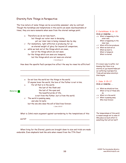# Eternity Puts Things in Perspective

The true nature of some things can be accurately assessed only by contrast. Though the hardships and temptations in this world can seem insurmountable at times, they are mere moments when seen from the eternal vantage point.

> <sup>16</sup> Therefore we do not lose heart, but though our outer man is decaying,

yet our inner man is being renewed day by day.

17 For momentary, light affliction is producing for us

an eternal weight of glory far beyond all comparison,

- <sup>18</sup> while we look not at the things which are seen, but at the things which are not seen;
	- for the things which are seen are temporal, but the things which are not seen are eternal.

2 Corinthians 4:

How does the apostle Paul's perspective affect the way he views his affliction?

\_\_\_\_\_\_\_\_\_\_\_\_\_\_\_\_\_\_\_\_\_\_\_\_\_\_\_\_\_\_\_\_\_\_\_\_\_\_\_\_\_\_\_\_\_\_\_\_\_\_\_\_\_\_\_\_

| 15 | Do not love the world nor the things in the world.               |
|----|------------------------------------------------------------------|
|    | If anyone loves the world, the love of the Father is not in him. |
| 16 | For all that is in the world,                                    |
|    | the lust of the flesh and                                        |
|    | the lust of the eyes and                                         |
|    | the boastful pride of life,                                      |
|    | is not from the Father, but is from the world.                   |
| 17 | The world is passing away,                                       |
|    | and <i>also</i> its lusts:                                       |
|    | but the one who does the will of God lives forever.              |
|    | 1 John 2:15-17                                                   |
|    |                                                                  |

What is John's main argument against surrendering to the temptations of this

\_\_\_\_\_\_\_\_\_\_\_\_\_\_\_\_\_\_\_\_\_\_\_\_\_\_\_\_\_\_\_\_\_\_\_\_\_\_\_\_\_\_\_\_\_\_\_\_\_\_\_\_\_\_\_\_

world? \_\_\_\_\_\_\_\_\_\_\_\_\_\_\_\_\_\_\_\_\_\_\_\_\_\_\_\_\_\_\_\_\_\_\_\_\_\_\_\_\_\_\_\_\_\_\_\_\_\_

When living for the Eternal, giants are brought down to size and trials are made endurable. Even elephants look like ants when viewed from the 77th floor!

#### **2 Corinthians 4:16-18 Circle or Underline ...**

- v 16 What is happening to the outer man. What is happening to the
- inner man. v 17 What affliction produces.
- v 18 What we look not at. What we look to. What is temporal. What is eternal.

It is never easy to suffer, but knowing that there is an eternity of joy beyond helps put our suffering in perspective. Trials will end when eternity's bliss begins.

## **1 John 2:15-17**

**Circle or Underline ...**

- v 15 What we should not love. What is true of those who do.
- v 16 What is in the world.
- v 17 What is passing away. Who lives forever.

The temporalness of this world is reason enough not to value it! Why place so much effort in something that will not last?!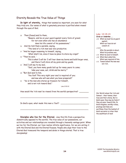# Eternity Reveals the True Value of Things

**In light of eternity,** things that seemed so important, are seen for what they truly are. Our sense of what is genuinely precious is purified when viewed through the eyes of God.

| 15              | Then (Jesus) said to them,                                               |
|-----------------|--------------------------------------------------------------------------|
|                 | "Beware, and be on your guard against every form of greed;               |
|                 | for not even when one has an abundance                                   |
|                 | does his life consist of his possessions."                               |
| 16 <sup>1</sup> | And He told them a parable, saying,                                      |
|                 | "The land of a rich man was very productive.                             |
|                 | 17 "And he began reasoning to himself, saying,                           |
|                 | 'What shall I do, since I have no place to store my crops?'              |
|                 | 18 "Then he said, '                                                      |
|                 | This is what I will do: I will tear down my barns and build larger ones, |
|                 | and there I will store all my grain and my goods.                        |
|                 | 19 'And I will say to my soul,                                           |
|                 | "Soul, you have many goods laid up for many years to come;               |
|                 | take your ease, eat, drink and be merry."'                               |
|                 | 20 "But God said to him.                                                 |
|                 | 'You fool! This very night your soul is required of you;                 |
|                 | and now who will own what you have prepared?'                            |
| 21              | "So is the man who stores up treasure for himself,                       |
|                 | and is not rich toward God."                                             |

Luke 12:15-21

How would the 'rich man' be viewed from the world's perspective?

\_\_\_\_\_\_\_\_\_\_\_\_\_\_\_\_\_\_\_\_\_\_\_\_\_\_\_\_\_\_\_\_\_\_\_\_\_\_\_\_\_\_\_\_\_\_\_\_\_\_\_\_\_\_\_

\_\_\_\_\_\_\_\_\_\_\_\_\_\_\_\_\_\_\_\_\_\_\_\_\_\_\_\_\_\_\_\_\_\_\_\_\_\_\_\_\_\_\_\_\_\_\_\_\_\_\_\_\_\_\_

In God's eyes, what made this man a 'fool'?

**Disciples who live for the Eternal,** view this life from a perspective diametrically opposed to the world's. The true value of our possessions, our activities and our relationships are revealed through a heavenly vantage point. When we live for the Eternal, our lives realize infinite significance, for we are uniting it with the Eternal God and His Eternal Purpose. People who align their lives to the Eternal God transcend the temporal and abide in things eternal. That is true discipleship!

## **Luke 12:15-21**

## **Circle or Underline ...** v 15 What we must be on guard against. What our lives do not consist of. v 16-18 Who the parable is about. What his problem was.

- v 19 What he said to himself.
- v 20 What God called him. What was required of him.

v 21 Toward whom the man was not rich.

Our World values the 'rich and famous' - their homes, their lives and their status. But in God's eyes, they may be fools if they are poor toward Him. In God's Kingdom, worldly riches, prestige and fame are worthless. Even the lowliest of God's servants is richer than the wealthiest of men!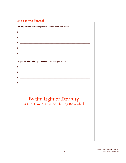# Live for the Eternal

List key Truths and Principles you learned from this study:

| <u> 1980 - Johann Barbara, martxa alemaniar a</u> |
|---------------------------------------------------|
|                                                   |
|                                                   |
|                                                   |

In light of what what you learned, list what you will do.

# By the Light of Eternity is the True Value of Things Revealed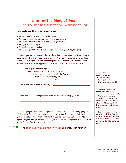# Live for the Glory of God The Disciple's Response to the Excellence of God

## **How would you like to be remembered?**

- As a successful person in my field of work.
- As one who accumulated great wealth and possessions.
- As one who knew how to party ana have a good time.
- $\vee$  As a great philanthropist.
- As a selfless humanitarian.
- As one who paid their bills, provided for their family and stayed out of jail.

**Most people, at some point in their lives,** think about the legacy they will leave behind when their lives come to an end. And most often, it is to have others remember us in a positive way, the more positive the better! But what was Jesus' desire? Here is what was uppermost in His' mind when He knew the end was near.

"Jesus spoke these things; and lifting up His eyes to heaven, He said, 'Father, the hour has come; glorify Your Son, that the Son may glorify You,'" John 17:1

1. What did Jesus mean by 'glorify'?

2. How does Jesus being glorified result in the Father being glorified?

\_\_\_\_\_\_\_\_\_\_\_\_\_\_\_\_\_\_\_\_\_\_\_\_\_\_\_\_\_\_\_\_\_\_\_\_\_\_\_\_\_\_\_\_\_\_\_\_\_\_\_\_\_\_\_\_

\_\_\_\_\_\_\_\_\_\_\_\_\_\_\_\_\_\_\_\_\_\_\_\_\_\_\_\_\_\_\_\_\_\_\_\_\_\_\_\_\_\_\_\_\_\_\_\_\_\_\_\_\_\_\_\_

\_\_\_\_\_\_\_\_\_\_\_\_\_\_\_\_\_\_\_\_\_\_\_\_\_\_\_\_\_\_\_\_\_\_\_\_\_\_\_\_\_\_\_\_\_\_\_\_\_\_\_\_\_\_\_\_

Jesus' prayer summarized the primary mission of His life ... to bring glory to His Heavenly Father! It was the reason for everything Jesus said and did while on Earth. He desired more than anything that God be magnified and honoured to the highest degree through His life. That ought to be our primary goal as well! As stated by the Shorter Westminster Catechism:

Memorize **E** 

"The chief end of man is to glorify God and enjoy Him forever."

## **John 17:1**

**Circle or Underline ...** What has come.

- What Jesus asked for.
- $\vee$  His reason for asking this.

The glorification of the Father depended on the glorification of the Son ... in His suffering, death, resurrection and ultimate re-glorification at the right hand of the Father. It revealed God's sacrificial love, justice and wisdom in one moment.

God is likewise glorified when we willingly fulfill His Purpose and Plan for our lives whatever it requires. That is the reason we live and the chief end of our lives.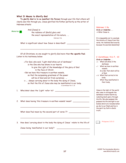|  |  |  |  | What It Means to Glorify God |  |  |
|--|--|--|--|------------------------------|--|--|
|--|--|--|--|------------------------------|--|--|

And (Jesus) is

**To glorify God is to so manifest His Person** through your life that others will clearly see Him through you. Jesus glorified His Father perfectly as the writer of Hebrews attests:

Memorize **E** 

the radiance of (God's) glory and the exact representation of His nature, ... Hebrews 1:3a

What is significant about how Jesus is described? \_\_\_\_\_\_\_\_\_\_\_\_\_\_\_\_\_\_\_\_\_\_\_\_\_\_\_\_\_\_

Of all Christians, no one sought to glorify God more than **the apostle Paul**. Listen to his testimony below:

- <sup>6</sup> For God, who said, "Light shall shine out of darkness,"
	- is the One who has shone in our hearts
		- to give the Light of the knowledge of the glory of God in the face of Christ.

\_\_\_\_\_\_\_\_\_\_\_\_\_\_\_\_\_\_\_\_\_\_\_\_\_\_\_\_\_\_\_\_\_\_\_\_\_\_\_\_\_\_\_\_\_\_\_\_\_\_\_\_\_\_\_\_

- <sup>7</sup> But we have this treasure in earthen vessels, so that the surpassing greatness of the power will be of God and not from ourselves; ...
- <sup>10</sup> ... always carrying about in the body the dying of Jesus, so that the life of Jesus also may be manifested in our body. 2 Corinthians 4:6-7, 10

\_\_\_\_\_\_\_\_\_\_\_\_\_\_\_\_\_\_\_\_\_\_\_\_\_\_\_\_\_\_\_\_\_\_\_\_\_\_\_\_\_\_\_\_\_\_\_\_\_\_\_\_\_\_\_\_

\_\_\_\_\_\_\_\_\_\_\_\_\_\_\_\_\_\_\_\_\_\_\_\_\_\_\_\_\_\_\_\_\_\_\_\_\_\_\_\_\_\_\_\_\_\_\_\_\_\_\_\_\_\_\_\_

\_\_\_\_\_\_\_\_\_\_\_\_\_\_\_\_\_\_\_\_\_\_\_\_\_\_\_\_\_\_\_\_\_\_\_\_\_\_\_\_\_\_\_\_\_\_\_\_\_\_\_\_\_\_\_\_

\_\_\_\_\_\_\_\_\_\_\_\_\_\_\_\_\_\_\_\_\_\_\_\_\_\_\_\_\_\_\_\_\_\_\_\_\_\_\_\_\_\_\_\_\_\_\_\_\_\_\_\_\_\_\_\_

- 1. Who/what does the 'Light' refer to? \_\_\_\_\_\_\_\_\_\_\_\_\_\_\_\_\_\_\_\_\_\_\_\_\_\_\_\_\_
- 2. What does having 'this treasure in earthen vessels' mean? \_\_\_\_\_\_\_\_\_\_\_\_\_\_\_\_\_\_\_

What does Paul mean by the second part of verse 7? \_\_\_\_\_\_\_\_\_\_\_\_\_\_\_\_\_\_\_\_\_\_\_\_\_\_\_\_\_

3. How does 'carrying about in the body the dying of Jesus ' relate to the life of

Jesus being 'manifested in our body'? \_\_\_\_\_\_\_\_\_\_\_\_\_\_\_\_\_\_\_\_\_\_\_\_\_\_\_\_

**Hebrews 1:3a**

**Circle or Underline ...** What Jesus is.

It is impossible not to conclude the divinity of Jesus from this verse. He radiated God exactly because He was God absolutely!

#### **2 Corinthians 4:6-7, 10**

**Circle or Underline ...**

- v 6 What will shine in the darkness.
- v 7 What we have in earthen vessels. In order that what will be
- of God. v 10 What Paul carried in his
- body. What they manifested in their body.

Jesus is the light of the world who came to extinguish the darkness in men's hearts by radiating God's glory through His life. We who possess Him possess His life and light in our bodies which are revealed when we die to our flesh and live in the spirit by faith in God's truth.

| Philippians 1:20-21 |  |  |
|---------------------|--|--|
|---------------------|--|--|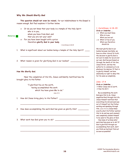# **Why We Should Glorify God**

**This question should not even be raised,** for our indebtedness to the Gospel is reason enough. But Paul explains it further below.

<sup>19</sup> Or do you not know that your body is a temple of the Holy Spirit who is in you, whom you have from God, and

#### Memorize **B**

that you are not your own? <sup>20</sup> For you have been bought with a price: therefore **glorify God in your body**.

1 Corinthians 6:18-20

1. What is significant about our bodies being a temple of the Holy Spirit? \_\_\_\_

\_\_\_\_\_\_\_\_\_\_\_\_\_\_\_\_\_\_\_\_\_\_\_\_\_\_\_\_\_\_\_\_\_\_\_\_\_\_\_\_\_\_\_\_\_\_\_\_\_\_\_\_\_\_\_\_

\_\_\_\_\_\_\_\_\_\_\_\_\_\_\_\_\_\_\_\_\_\_\_\_\_\_\_\_\_\_\_\_\_\_\_\_\_\_\_\_\_\_\_\_\_\_\_\_\_\_\_\_\_\_\_

2. What reason is given for glorifying God in our bodies? \_\_\_\_

#### **How We Glorify God.**

Near the completion of His life, Jesus confidently testified how He brought glory to His Father.

> "I glorified You on the earth, having accomplished the work which You have given Me to do." John 17:4

- 1. How did Jesus bring glory to His Father? \_\_\_\_\_\_\_\_\_\_\_\_\_\_\_\_\_\_\_\_\_\_\_\_\_\_
- 2. How does accomplishing the work God has given us glorify Him? \_\_\_\_\_\_\_\_\_\_

\_\_\_\_\_\_\_\_\_\_\_\_\_\_\_\_\_\_\_\_\_\_\_\_\_\_\_\_\_\_\_\_\_\_\_\_\_\_\_\_\_\_\_\_\_\_\_\_\_\_\_\_\_\_\_\_

\_\_\_\_\_\_\_\_\_\_\_\_\_\_\_\_\_\_\_\_\_\_\_\_\_\_\_\_\_\_\_\_\_\_\_\_\_\_\_\_\_\_\_\_\_\_\_\_\_\_\_\_\_\_\_\_

\_\_\_\_\_\_\_\_\_\_\_\_\_\_\_\_\_\_\_\_\_\_\_\_\_\_\_\_\_\_\_\_\_\_\_\_\_\_\_\_\_\_\_\_\_\_\_\_\_\_\_\_\_\_\_\_

\_\_\_\_\_\_\_\_\_\_\_\_\_\_\_\_\_\_\_\_\_\_\_\_\_\_\_\_\_\_\_\_\_\_\_\_\_\_\_\_\_\_\_\_\_\_\_\_\_\_\_\_\_\_\_\_

3. What work has God given you to do? \_\_\_\_\_\_\_\_\_\_\_\_\_\_\_\_\_\_\_\_\_\_\_\_\_\_\_\_\_

#### **1 Corinthians 6:18-20**

#### **Circle or Underline ...**

- v 19 What you must know. Who is in you. What you are not.
- v 20 What is true of you. What you therefore should do

We must glorify God in our bodies because inevitably, we have no other choice! In truth, the decision to glorify God is not ours to make for we are not our own. God has purchased us through the death of His Son, Jesus Christ, and has the authority to command us to do whatever He desires. If that is to glorify Himself, we have absolutely no right to deny Him for He owns us completely.

#### **John 17:4**

**Circle or Underline ...**

What Jesus did on earth.

 $\vee$  How He did it.

By accomplishing the work God gave Him to do, Jesus magnified God through His Life. Jesus Himself testified that everything He did and said was not of Himself but the Father working and speaking through Him. (John 14 10-11) Jesus knew exactly what His Father wanted Him to do and say each moment, and completely yielded Himself to be used to the glory of God.

How many of us know what work God has given us to do? If God is glorified through our accomplishing that work, don't you think we had best find out as soon as possible?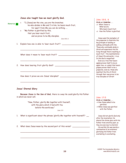|                       | Jesus also taught how we must glorify God.                                                                            | John 15:5, 8                                                                                        |
|-----------------------|-----------------------------------------------------------------------------------------------------------------------|-----------------------------------------------------------------------------------------------------|
|                       | "I (Jesus) am the vine, you are the branches;<br>5                                                                    | Circle or Underline                                                                                 |
| Memorize $\mathbf{B}$ | he who abides in Me and I in him, he bears much fruit,                                                                | v5 What Jesus is.                                                                                   |
|                       |                                                                                                                       | What we are.                                                                                        |
|                       | for apart from Me you can do nothing.                                                                                 | Who bears 'much fruit'.                                                                             |
|                       | "My Father is glorified by this,<br>8                                                                                 | v8 How the Father is glorified.                                                                     |
|                       | that you bear much fruit,                                                                                             |                                                                                                     |
|                       | and so prove to be My disciples.                                                                                      |                                                                                                     |
|                       | John 15:5, 8                                                                                                          | Jesus used the metaphor of                                                                          |
|                       |                                                                                                                       | the grapevine to illustrate the                                                                     |
| 1.                    | Explain how one is able to 'bear much fruit'? __________________________________                                      | key principle of abiding or                                                                         |
|                       |                                                                                                                       | walking continually with Him.                                                                       |
|                       |                                                                                                                       | Those who continually abide in                                                                      |
|                       |                                                                                                                       | Christ will experience His life<br>living through theirs resulting in                               |
|                       |                                                                                                                       | much fruit $\sim$ the manifestation                                                                 |
|                       |                                                                                                                       | of Jesus' life and works ~ in us.                                                                   |
|                       |                                                                                                                       | In this God is magnified!                                                                           |
|                       | <u> 1989 - Johann Harry Harry Harry Harry Harry Harry Harry Harry Harry Harry Harry Harry Harry Harry Harry Harry</u> | Even as a tree that bears                                                                           |
|                       |                                                                                                                       | apples proves itself to be an                                                                       |
| 2.                    |                                                                                                                       | apple tree, or a plant that bears                                                                   |
|                       |                                                                                                                       | grapes proves itself to be a                                                                        |
|                       |                                                                                                                       | grapevine, even so, those who                                                                       |
|                       |                                                                                                                       | manifest the life of Christ                                                                         |
|                       |                                                                                                                       | through their own prove to be                                                                       |
|                       |                                                                                                                       | true disciples of Christ!                                                                           |
|                       |                                                                                                                       |                                                                                                     |
|                       | Jesus' Eternal Glory                                                                                                  |                                                                                                     |
|                       |                                                                                                                       |                                                                                                     |
|                       | Because Jesus is the Son of God, there is a way He could glorify His Father                                           |                                                                                                     |
|                       | in which we never will.                                                                                               | John 17:5                                                                                           |
|                       |                                                                                                                       | Circle or Underline                                                                                 |
|                       | "Now, Father, glorify Me together with Yourself,                                                                      | ↓ How Jesus asked to be                                                                             |
|                       | with the glory which I had with You                                                                                   | glorified.                                                                                          |
|                       | before the world was."                                                                                                | $\vee$ When Jesus was glorified                                                                     |
|                       | John 17:5                                                                                                             | with the Father.                                                                                    |
|                       |                                                                                                                       |                                                                                                     |
| 1.                    | What is significant about the phrase 'glorify Me together with Yourself'? __                                          |                                                                                                     |
|                       |                                                                                                                       | after the incarnation. He                                                                           |
|                       |                                                                                                                       |                                                                                                     |
|                       |                                                                                                                       | Father from eternity past, as                                                                       |
|                       |                                                                                                                       | Jesus did not glorify God only<br>shared the divine glory with His<br>they do even now to eternity! |
| 2.                    | What does Jesus mean by the second part of this verse? _________________________                                      | His earthly life was merely a                                                                       |
|                       |                                                                                                                       | continuation of an existence                                                                        |
|                       |                                                                                                                       | glorifying His Father from                                                                          |
|                       |                                                                                                                       | everlasting to everlasting.                                                                         |
|                       |                                                                                                                       |                                                                                                     |